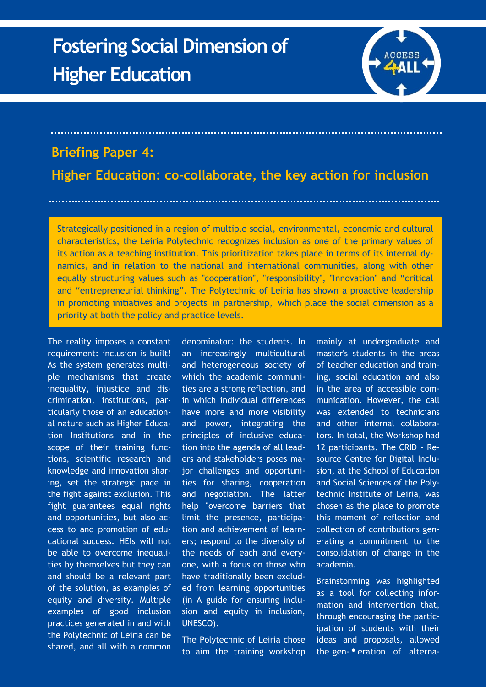## **Fostering Social Dimension of Higher Education**



## **Briefing Paper 4:**

**Higher Education: co-collaborate, the key action for inclusion**

Strategically positioned in a region of multiple social, environmental, economic and cultural characteristics, the Leiria Polytechnic recognizes inclusion as one of the primary values of its action as a teaching institution. This prioritization takes place in terms of its internal dynamics, and in relation to the national and international communities, along with other equally structuring values such as "cooperation", "responsibility", "Innovation" and "critical and "entrepreneurial thinking". The Polytechnic of Leiria has shown a proactive leadership in promoting initiatives and projects in partnership, which place the social dimension as a priority at both the policy and practice levels.

The reality imposes a constant requirement: inclusion is built! As the system generates multiple mechanisms that create inequality, injustice and discrimination, institutions, particularly those of an educational nature such as Higher Education Institutions and in the scope of their training functions, scientific research and knowledge and innovation sharing, set the strategic pace in the fight against exclusion. This fight guarantees equal rights and opportunities, but also access to and promotion of educational success. HEIs will not be able to overcome inequalities by themselves but they can and should be a relevant part of the solution, as examples of equity and diversity. Multiple examples of good inclusion practices generated in and with the Polytechnic of Leiria can be shared, and all with a common

denominator: the students. In an increasingly multicultural and heterogeneous society of which the academic communities are a strong reflection, and in which individual differences have more and more visibility and power, integrating the principles of inclusive education into the agenda of all leaders and stakeholders poses major challenges and opportunities for sharing, cooperation and negotiation. The latter help "overcome barriers that limit the presence, participation and achievement of learners; respond to the diversity of the needs of each and everyone, with a focus on those who have traditionally been excluded from learning opportunities (in A guide for ensuring inclusion and equity in inclusion, UNESCO).

The Polytechnic of Leiria chose to aim the training workshop mainly at undergraduate and master's students in the areas of teacher education and training, social education and also in the area of accessible communication. However, the call was extended to technicians and other internal collaborators. In total, the Workshop had 12 participants. The CRID - Resource Centre for Digital Inclusion, at the School of Education and Social Sciences of the Polytechnic Institute of Leiria, was chosen as the place to promote this moment of reflection and collection of contributions generating a commitment to the consolidation of change in the academia.

Brainstorming was highlighted as a tool for collecting information and intervention that, through encouraging the participation of students with their ideas and proposals, allowed the gen- <sup>•</sup> eration of alterna-